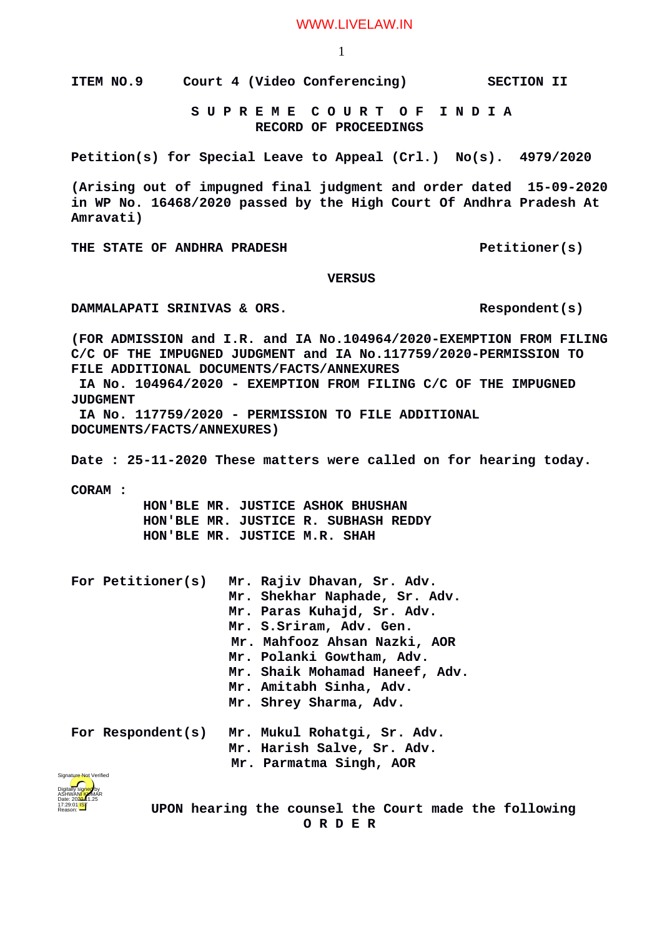## WWW.LIVELAW.IN

**ITEM NO.9 Court 4 (Video Conferencing) SECTION II**

 **S U P R E M E C O U R T O F I N D I A RECORD OF PROCEEDINGS**

**Petition(s) for Special Leave to Appeal (Crl.) No(s). 4979/2020**

**(Arising out of impugned final judgment and order dated 15-09-2020 in WP No. 16468/2020 passed by the High Court Of Andhra Pradesh At Amravati)**

THE STATE OF ANDHRA PRADESH **PELL PERITS** PETITIONER(S)

## **VERSUS**

DAMMALAPATI SRINIVAS & ORS. Respondent(s)

**(FOR ADMISSION and I.R. and IA No.104964/2020-EXEMPTION FROM FILING C/C OF THE IMPUGNED JUDGMENT and IA No.117759/2020-PERMISSION TO FILE ADDITIONAL DOCUMENTS/FACTS/ANNEXURES** 

 **IA No. 104964/2020 - EXEMPTION FROM FILING C/C OF THE IMPUGNED JUDGMENT**

 **IA No. 117759/2020 - PERMISSION TO FILE ADDITIONAL DOCUMENTS/FACTS/ANNEXURES)**

**Date : 25-11-2020 These matters were called on for hearing today.**

**CORAM :** 

 **HON'BLE MR. JUSTICE ASHOK BHUSHAN HON'BLE MR. JUSTICE R. SUBHASH REDDY HON'BLE MR. JUSTICE M.R. SHAH**

| For Petitioner(s) | Mr. Rajiv Dhavan, Sr. Adv.<br>Mr. Shekhar Naphade, Sr. Adv.<br>Mr. Paras Kuhajd, Sr. Adv.<br>Mr. S.Sriram, Adv. Gen.<br>Mr. Mahfooz Ahsan Nazki, AOR<br>Mr. Polanki Gowtham, Adv. |
|-------------------|-----------------------------------------------------------------------------------------------------------------------------------------------------------------------------------|
|                   | Mr. Shaik Mohamad Haneef, Adv.<br>Mr. Amitabh Sinha, Adv.<br>Mr. Shrey Sharma, Adv.                                                                                               |
| For Respondent(s) | Mr. Mukul Rohatgi, Sr. Adv.                                                                                                                                                       |

**Mr. Harish Salve, Sr. Adv. Mr. Parmatma Singh, AOR**



 **UPON hearing the counsel the Court made the following O R D E R**